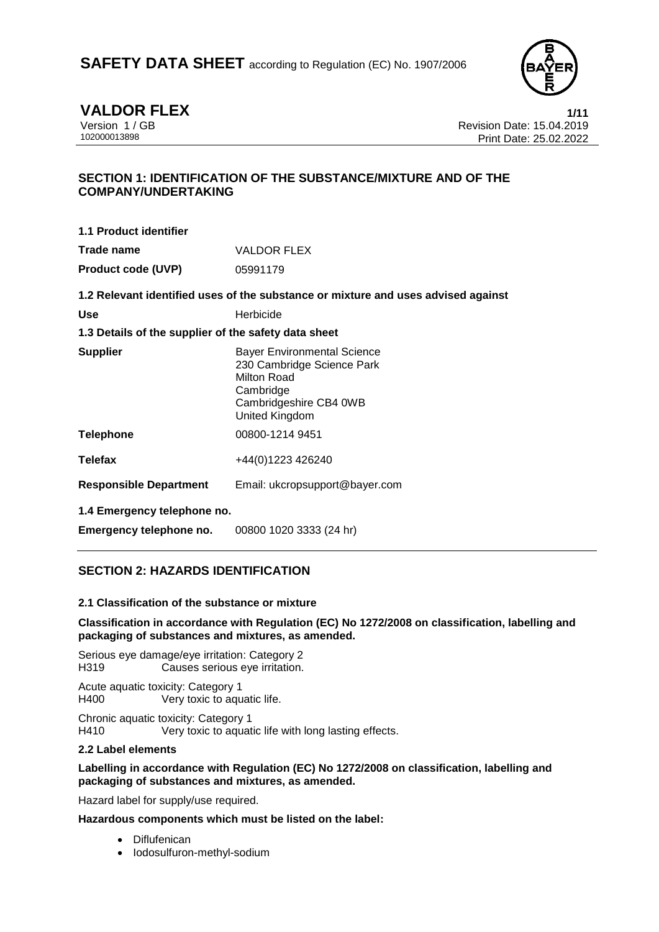

**VALDOR FLEX**<br>Version 1 / GB **1/11**<br>Revision Date: 15.04.2019 Version 1 / GB<br>102000013898<br>Print Date: 25.02.2019<br>Print Date: 25.02.2022 Print Date: 25.02.2022

# **SECTION 1: IDENTIFICATION OF THE SUBSTANCE/MIXTURE AND OF THE COMPANY/UNDERTAKING**

| 1.1 Product identifier    |                    |
|---------------------------|--------------------|
| Trade name                | <b>VALDOR FLEX</b> |
| <b>Product code (UVP)</b> | 05991179           |

**1.2 Relevant identified uses of the substance or mixture and uses advised against**

### **1.3 Details of the supplier of the safety data sheet**

| <b>Supplier</b>               | <b>Bayer Environmental Science</b><br>230 Cambridge Science Park<br>Milton Road<br>Cambridge<br>Cambridgeshire CB4 0WB<br>United Kingdom |
|-------------------------------|------------------------------------------------------------------------------------------------------------------------------------------|
| <b>Telephone</b>              | 00800-1214 9451                                                                                                                          |
| <b>Telefax</b>                | +44(0)1223 426240                                                                                                                        |
| <b>Responsible Department</b> | Email: ukcropsupport@bayer.com                                                                                                           |
| 1.4 Emergency telephone no.   |                                                                                                                                          |

**Emergency telephone no.** 00800 1020 3333 (24 hr)

# **SECTION 2: HAZARDS IDENTIFICATION**

### **2.1 Classification of the substance or mixture**

### **Classification in accordance with Regulation (EC) No 1272/2008 on classification, labelling and packaging of substances and mixtures, as amended.**

Serious eye damage/eye irritation: Category 2 H319 Causes serious eye irritation.

Acute aquatic toxicity: Category 1 H400 Very toxic to aquatic life.

Chronic aquatic toxicity: Category 1

H410 Very toxic to aquatic life with long lasting effects.

# **2.2 Label elements**

### **Labelling in accordance with Regulation (EC) No 1272/2008 on classification, labelling and packaging of substances and mixtures, as amended.**

Hazard label for supply/use required.

**Hazardous components which must be listed on the label:**

- Diflufenican
- Iodosulfuron-methyl-sodium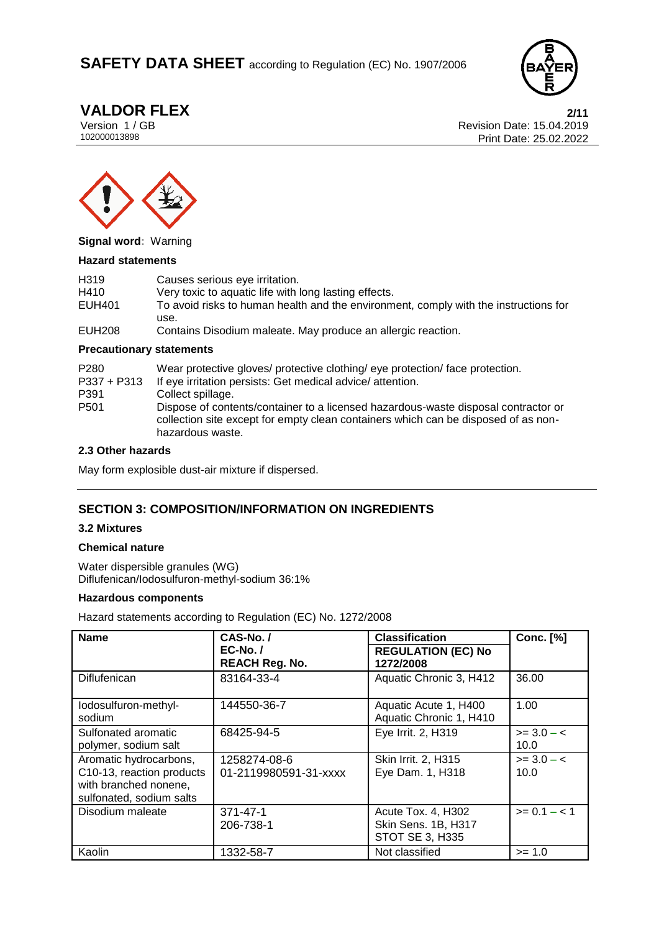# **SAFETY DATA SHEET** according to Regulation (EC) No. 1907/2006



**VALDOR FLEX** 2/11<br>Version 1 / GB 2019 Version 1 / GB Revision Date: 15.04.2019 Print Date: 25.02.2022



**Signal word:** Warning

#### **Hazard statements**

| H <sub>319</sub> | Causes serious eye irritation.                                                       |
|------------------|--------------------------------------------------------------------------------------|
| H410             | Very toxic to aquatic life with long lasting effects.                                |
| EUH401           | To avoid risks to human health and the environment, comply with the instructions for |
|                  | use.                                                                                 |
| EUH208           | Contains Disodium maleate. May produce an allergic reaction.                         |

#### **Precautionary statements**

| P <sub>280</sub><br>$P337 + P313$ | Wear protective gloves/ protective clothing/ eye protection/ face protection.<br>If eye irritation persists: Get medical advice/ attention.                                                  |
|-----------------------------------|----------------------------------------------------------------------------------------------------------------------------------------------------------------------------------------------|
| P391                              | Collect spillage.                                                                                                                                                                            |
| P <sub>501</sub>                  | Dispose of contents/container to a licensed hazardous-waste disposal contractor or<br>collection site except for empty clean containers which can be disposed of as non-<br>hazardous waste. |

#### **2.3 Other hazards**

May form explosible dust-air mixture if dispersed.

# **SECTION 3: COMPOSITION/INFORMATION ON INGREDIENTS**

#### **3.2 Mixtures**

#### **Chemical nature**

Water dispersible granules (WG) Diflufenican/Iodosulfuron-methyl-sodium 36:1%

#### **Hazardous components**

Hazard statements according to Regulation (EC) No. 1272/2008

| <b>Name</b>                                                                                              | CAS-No./<br>$EC-No.$<br><b>REACH Reg. No.</b> | <b>Classification</b><br><b>REGULATION (EC) No</b><br>1272/2008 | <b>Conc.</b> [%]     |
|----------------------------------------------------------------------------------------------------------|-----------------------------------------------|-----------------------------------------------------------------|----------------------|
| Diflufenican                                                                                             | 83164-33-4                                    | Aquatic Chronic 3, H412                                         | 36.00                |
| lodosulfuron-methyl-<br>sodium                                                                           | 144550-36-7                                   | Aquatic Acute 1, H400<br>Aquatic Chronic 1, H410                | 1.00                 |
| Sulfonated aromatic<br>polymer, sodium salt                                                              | 68425-94-5                                    | Eye Irrit. 2, H319                                              | $>= 3.0 - c$<br>10.0 |
| Aromatic hydrocarbons,<br>C10-13, reaction products<br>with branched nonene,<br>sulfonated, sodium salts | 1258274-08-6<br>01-2119980591-31-xxxx         | Skin Irrit. 2, H315<br>Eye Dam. 1, H318                         | $>= 3.0 - c$<br>10.0 |
| Disodium maleate                                                                                         | $371 - 47 - 1$<br>206-738-1                   | Acute Tox. 4, H302<br>Skin Sens. 1B, H317<br>STOT SE 3, H335    | $>= 0.1 - < 1$       |
| Kaolin                                                                                                   | 1332-58-7                                     | Not classified                                                  | $>= 1.0$             |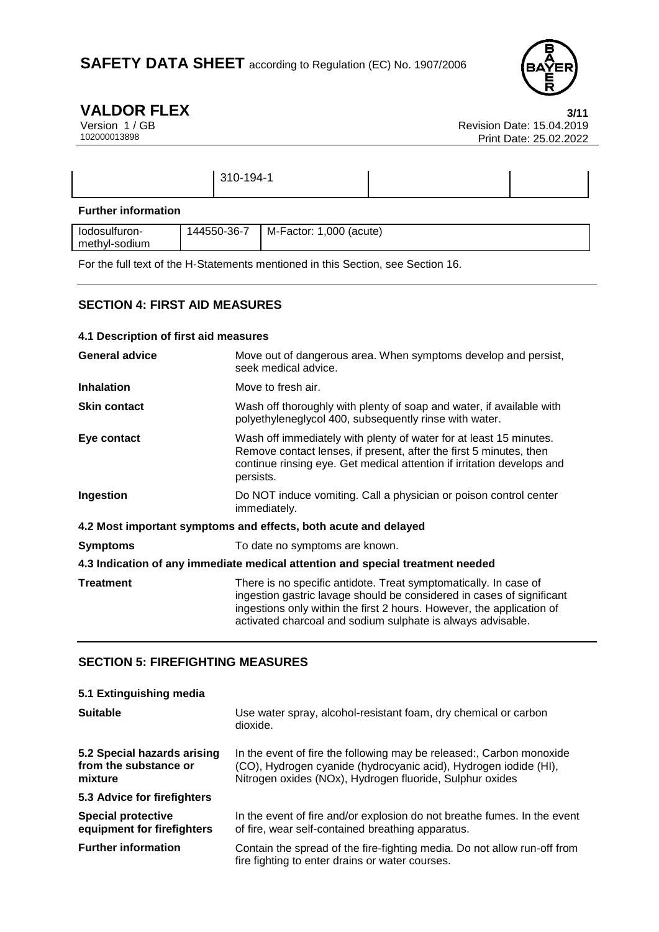

**VALDOR FLEX** 3/11<br>Version 1/GB Revision Date: 15.04.2019 Version 1 / GB<br>102000013898<br>Print Date: 25.02.2019<br>Print Date: 25.02.2022 Print Date: 25.02.2022

|                            | 310-194-1 |  |
|----------------------------|-----------|--|
| <b>Further information</b> |           |  |

| lodosulturon- | -36-7<br>144550-3 | .000<br>(acute)<br>M-Factor: |
|---------------|-------------------|------------------------------|
| methyl-sodium |                   |                              |

For the full text of the H-Statements mentioned in this Section, see Section 16.

# **SECTION 4: FIRST AID MEASURES**

| 4.1 Description of first aid measures                                          |                                                                                                                                                                                                                                                                                   |  |
|--------------------------------------------------------------------------------|-----------------------------------------------------------------------------------------------------------------------------------------------------------------------------------------------------------------------------------------------------------------------------------|--|
| <b>General advice</b>                                                          | Move out of dangerous area. When symptoms develop and persist,<br>seek medical advice.                                                                                                                                                                                            |  |
| <b>Inhalation</b>                                                              | Move to fresh air.                                                                                                                                                                                                                                                                |  |
| <b>Skin contact</b>                                                            | Wash off thoroughly with plenty of soap and water, if available with<br>polyethyleneglycol 400, subsequently rinse with water.                                                                                                                                                    |  |
| Eye contact                                                                    | Wash off immediately with plenty of water for at least 15 minutes.<br>Remove contact lenses, if present, after the first 5 minutes, then<br>continue rinsing eye. Get medical attention if irritation develops and<br>persists.                                                   |  |
| Ingestion                                                                      | Do NOT induce vomiting. Call a physician or poison control center<br>immediately.                                                                                                                                                                                                 |  |
| 4.2 Most important symptoms and effects, both acute and delayed                |                                                                                                                                                                                                                                                                                   |  |
| <b>Symptoms</b>                                                                | To date no symptoms are known.                                                                                                                                                                                                                                                    |  |
| 4.3 Indication of any immediate medical attention and special treatment needed |                                                                                                                                                                                                                                                                                   |  |
| <b>Treatment</b>                                                               | There is no specific antidote. Treat symptomatically. In case of<br>ingestion gastric lavage should be considered in cases of significant<br>ingestions only within the first 2 hours. However, the application of<br>activated charcoal and sodium sulphate is always advisable. |  |

# **SECTION 5: FIREFIGHTING MEASURES**

| 5.1 Extinguishing media                                         |                                                                                                                                                                                                      |
|-----------------------------------------------------------------|------------------------------------------------------------------------------------------------------------------------------------------------------------------------------------------------------|
| <b>Suitable</b>                                                 | Use water spray, alcohol-resistant foam, dry chemical or carbon<br>dioxide.                                                                                                                          |
| 5.2 Special hazards arising<br>from the substance or<br>mixture | In the event of fire the following may be released:, Carbon monoxide<br>(CO), Hydrogen cyanide (hydrocyanic acid), Hydrogen iodide (HI),<br>Nitrogen oxides (NOx), Hydrogen fluoride, Sulphur oxides |
| 5.3 Advice for firefighters                                     |                                                                                                                                                                                                      |
| <b>Special protective</b><br>equipment for firefighters         | In the event of fire and/or explosion do not breathe fumes. In the event<br>of fire, wear self-contained breathing apparatus.                                                                        |
| <b>Further information</b>                                      | Contain the spread of the fire-fighting media. Do not allow run-off from<br>fire fighting to enter drains or water courses.                                                                          |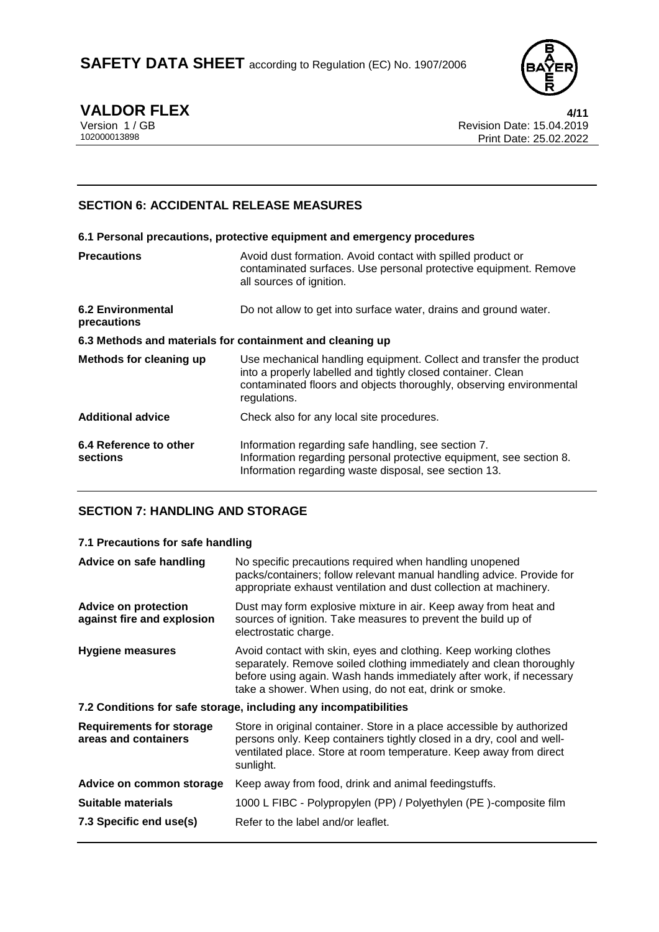

**VALDOR FLEX**<br>Version 1/GB **1/4/11**<br>Revision Date: 15.04.2019 Version 1 / GB<br>102000013898<br>Print Date: 25.02.2019<br>Print Date: 25.02.2022 Print Date: 25.02.2022

# **SECTION 6: ACCIDENTAL RELEASE MEASURES**

|                                                           | 6.1 Personal precautions, protective equipment and emergency procedures                                                                                                                                                    |  |
|-----------------------------------------------------------|----------------------------------------------------------------------------------------------------------------------------------------------------------------------------------------------------------------------------|--|
| <b>Precautions</b>                                        | Avoid dust formation. Avoid contact with spilled product or<br>contaminated surfaces. Use personal protective equipment. Remove<br>all sources of ignition.                                                                |  |
| <b>6.2 Environmental</b><br>precautions                   | Do not allow to get into surface water, drains and ground water.                                                                                                                                                           |  |
| 6.3 Methods and materials for containment and cleaning up |                                                                                                                                                                                                                            |  |
| <b>Methods for cleaning up</b>                            | Use mechanical handling equipment. Collect and transfer the product<br>into a properly labelled and tightly closed container. Clean<br>contaminated floors and objects thoroughly, observing environmental<br>regulations. |  |
| <b>Additional advice</b>                                  | Check also for any local site procedures.                                                                                                                                                                                  |  |
| 6.4 Reference to other<br>sections                        | Information regarding safe handling, see section 7.<br>Information regarding personal protective equipment, see section 8.<br>Information regarding waste disposal, see section 13.                                        |  |

# **SECTION 7: HANDLING AND STORAGE**

# **7.1 Precautions for safe handling**

| Advice on safe handling                                          | No specific precautions required when handling unopened<br>packs/containers; follow relevant manual handling advice. Provide for<br>appropriate exhaust ventilation and dust collection at machinery.                                                                    |  |
|------------------------------------------------------------------|--------------------------------------------------------------------------------------------------------------------------------------------------------------------------------------------------------------------------------------------------------------------------|--|
| <b>Advice on protection</b><br>against fire and explosion        | Dust may form explosive mixture in air. Keep away from heat and<br>sources of ignition. Take measures to prevent the build up of<br>electrostatic charge.                                                                                                                |  |
| <b>Hygiene measures</b>                                          | Avoid contact with skin, eyes and clothing. Keep working clothes<br>separately. Remove soiled clothing immediately and clean thoroughly<br>before using again. Wash hands immediately after work, if necessary<br>take a shower. When using, do not eat, drink or smoke. |  |
| 7.2 Conditions for safe storage, including any incompatibilities |                                                                                                                                                                                                                                                                          |  |
| <b>Requirements for storage</b><br>areas and containers          | Store in original container. Store in a place accessible by authorized<br>persons only. Keep containers tightly closed in a dry, cool and well-<br>ventilated place. Store at room temperature. Keep away from direct<br>sunlight.                                       |  |
| Advice on common storage                                         | Keep away from food, drink and animal feedingstuffs.                                                                                                                                                                                                                     |  |
| <b>Suitable materials</b>                                        | 1000 L FIBC - Polypropylen (PP) / Polyethylen (PE)-composite film                                                                                                                                                                                                        |  |
| 7.3 Specific end use(s)                                          | Refer to the label and/or leaflet.                                                                                                                                                                                                                                       |  |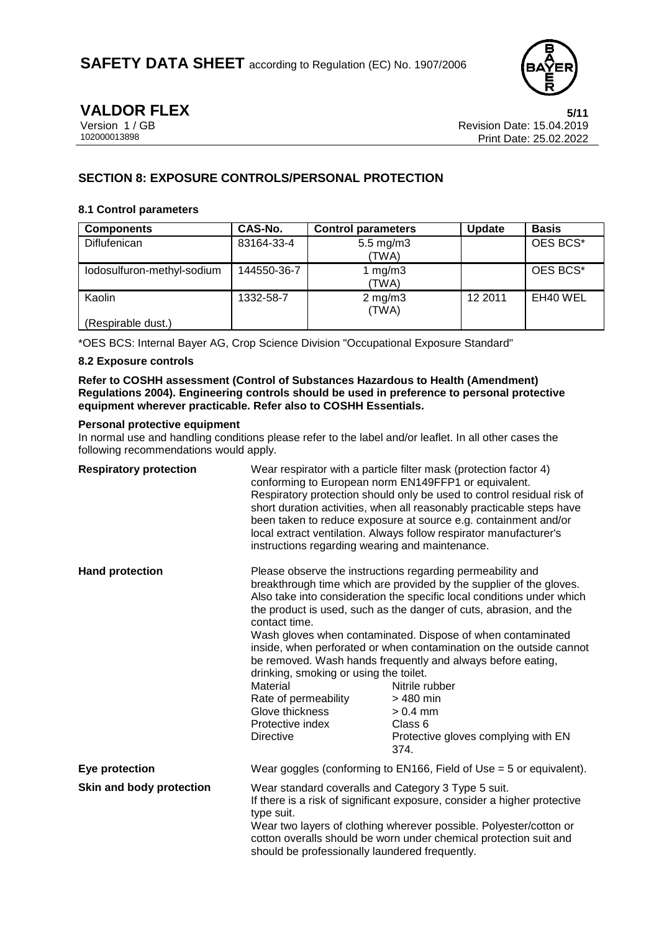

**VALDOR FLEX**<br>Version 1 / GB 88 and 100 and 50 and 50 and 50 and 50 and 50 and 50 and 50 and 50 and 50 and 50 and 50 and 50 and 50 and 50 and 50 and 50 and 50 and 50 and 50 and 50 and 50 and 50 and 50 and 50 and 50 and 50 Version 1 / GB Revision Date: 15.04.2019<br>102000013898 Print Date: 25.02.2019 Print Date: 25.02.2022

# **SECTION 8: EXPOSURE CONTROLS/PERSONAL PROTECTION**

### **8.1 Control parameters**

| <b>Components</b>          | CAS-No.     | <b>Control parameters</b>     | <b>Update</b> | <b>Basis</b> |
|----------------------------|-------------|-------------------------------|---------------|--------------|
| Diflufenican               | 83164-33-4  | $5.5 \text{ mg/m}$ 3<br>(TWA) |               | OES BCS*     |
| lodosulfuron-methyl-sodium | 144550-36-7 | 1 mg/m $3$<br>(TWA)           |               | OES BCS*     |
| Kaolin                     | 1332-58-7   | $2$ mg/m $3$<br>(TWA)         | 12 2011       | EH40 WEL     |
| (Respirable dust.)         |             |                               |               |              |

\*OES BCS: Internal Bayer AG, Crop Science Division "Occupational Exposure Standard"

## **8.2 Exposure controls**

**Refer to COSHH assessment (Control of Substances Hazardous to Health (Amendment) Regulations 2004). Engineering controls should be used in preference to personal protective equipment wherever practicable. Refer also to COSHH Essentials.**

#### **Personal protective equipment**

In normal use and handling conditions please refer to the label and/or leaflet. In all other cases the following recommendations would apply.

| <b>Respiratory protection</b> | instructions regarding wearing and maintenance.                                                                                                                                                                                                                                                                                            | Wear respirator with a particle filter mask (protection factor 4)<br>conforming to European norm EN149FFP1 or equivalent.<br>Respiratory protection should only be used to control residual risk of<br>short duration activities, when all reasonably practicable steps have<br>been taken to reduce exposure at source e.g. containment and/or<br>local extract ventilation. Always follow respirator manufacturer's                                                                                                                                                                         |
|-------------------------------|--------------------------------------------------------------------------------------------------------------------------------------------------------------------------------------------------------------------------------------------------------------------------------------------------------------------------------------------|-----------------------------------------------------------------------------------------------------------------------------------------------------------------------------------------------------------------------------------------------------------------------------------------------------------------------------------------------------------------------------------------------------------------------------------------------------------------------------------------------------------------------------------------------------------------------------------------------|
| <b>Hand protection</b>        | contact time.<br>drinking, smoking or using the toilet.<br>Material<br>Rate of permeability<br>Glove thickness<br>Protective index<br><b>Directive</b>                                                                                                                                                                                     | Please observe the instructions regarding permeability and<br>breakthrough time which are provided by the supplier of the gloves.<br>Also take into consideration the specific local conditions under which<br>the product is used, such as the danger of cuts, abrasion, and the<br>Wash gloves when contaminated. Dispose of when contaminated<br>inside, when perforated or when contamination on the outside cannot<br>be removed. Wash hands frequently and always before eating,<br>Nitrile rubber<br>> 480 min<br>$> 0.4$ mm<br>Class 6<br>Protective gloves complying with EN<br>374. |
| Eye protection                | Wear goggles (conforming to EN166, Field of Use $=$ 5 or equivalent).                                                                                                                                                                                                                                                                      |                                                                                                                                                                                                                                                                                                                                                                                                                                                                                                                                                                                               |
| Skin and body protection      | Wear standard coveralls and Category 3 Type 5 suit.<br>If there is a risk of significant exposure, consider a higher protective<br>type suit.<br>Wear two layers of clothing wherever possible. Polyester/cotton or<br>cotton overalls should be worn under chemical protection suit and<br>should be professionally laundered frequently. |                                                                                                                                                                                                                                                                                                                                                                                                                                                                                                                                                                                               |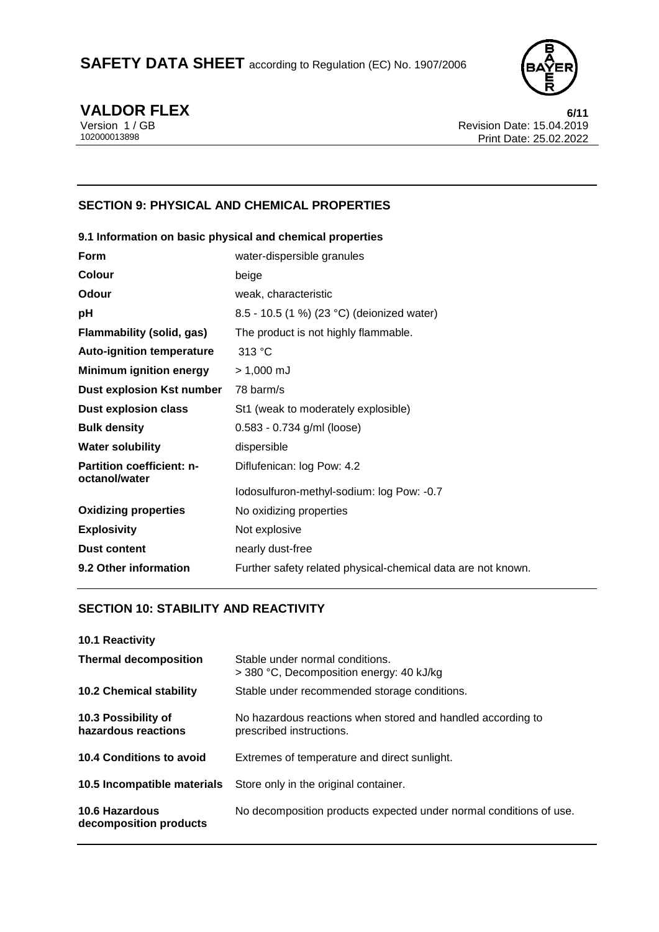

**VALDOR FLEX** 6/11<br>Version 1/GB Revision Date: 15.04.2019 Version 1 / GB Revision Date: 15.04.2019<br>102000013898 Print Date: 25.02.2019 Print Date: 25.02.2022

# **SECTION 9: PHYSICAL AND CHEMICAL PROPERTIES**

|                                                   | 9.1 Information on basic physical and chemical properties    |
|---------------------------------------------------|--------------------------------------------------------------|
| Form                                              | water-dispersible granules                                   |
| Colour                                            | beige                                                        |
| Odour                                             | weak, characteristic                                         |
| рH                                                | 8.5 - 10.5 (1 %) (23 °C) (deionized water)                   |
| Flammability (solid, gas)                         | The product is not highly flammable.                         |
| <b>Auto-ignition temperature</b>                  | 313 °C                                                       |
| <b>Minimum ignition energy</b>                    | $> 1,000$ mJ                                                 |
| <b>Dust explosion Kst number</b>                  | 78 barm/s                                                    |
| <b>Dust explosion class</b>                       | St1 (weak to moderately explosible)                          |
| <b>Bulk density</b>                               | $0.583 - 0.734$ g/ml (loose)                                 |
| Water solubility                                  | dispersible                                                  |
| <b>Partition coefficient: n-</b><br>octanol/water | Diflufenican: log Pow: 4.2                                   |
|                                                   | Iodosulfuron-methyl-sodium: log Pow: -0.7                    |
| <b>Oxidizing properties</b>                       | No oxidizing properties                                      |
| <b>Explosivity</b>                                | Not explosive                                                |
| <b>Dust content</b>                               | nearly dust-free                                             |
| 9.2 Other information                             | Further safety related physical-chemical data are not known. |
|                                                   |                                                              |

# **SECTION 10: STABILITY AND REACTIVITY**

| <b>10.1 Reactivity</b>                     |                                                                                         |
|--------------------------------------------|-----------------------------------------------------------------------------------------|
| <b>Thermal decomposition</b>               | Stable under normal conditions.<br>> 380 °C, Decomposition energy: 40 kJ/kg             |
| <b>10.2 Chemical stability</b>             | Stable under recommended storage conditions.                                            |
| 10.3 Possibility of<br>hazardous reactions | No hazardous reactions when stored and handled according to<br>prescribed instructions. |
| 10.4 Conditions to avoid                   | Extremes of temperature and direct sunlight.                                            |
| 10.5 Incompatible materials                | Store only in the original container.                                                   |
| 10.6 Hazardous<br>decomposition products   | No decomposition products expected under normal conditions of use.                      |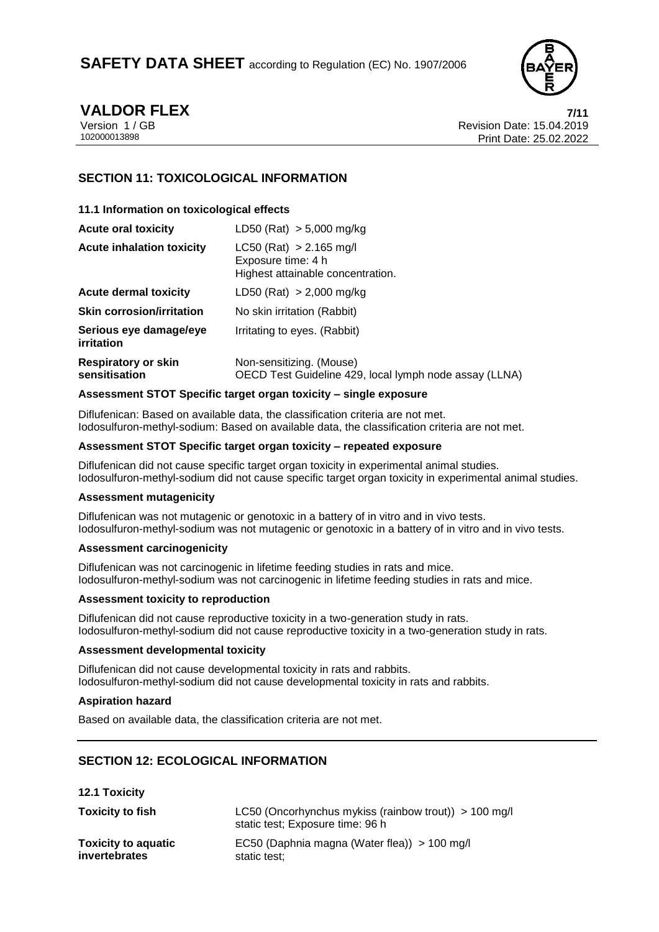

**VALDOR FLEX 7/11** Version 1 / GB Revision Date: 15.04.2019 Print Date: 25.02.2022

# **SECTION 11: TOXICOLOGICAL INFORMATION**

### **11.1 Information on toxicological effects**

| <b>Acute oral toxicity</b>                  | LD50 (Rat) $> 5,000$ mg/kg                                                           |
|---------------------------------------------|--------------------------------------------------------------------------------------|
| <b>Acute inhalation toxicity</b>            | $LC50$ (Rat) > 2.165 mg/l<br>Exposure time: 4 h<br>Highest attainable concentration. |
| <b>Acute dermal toxicity</b>                | LD50 (Rat) $> 2,000$ mg/kg                                                           |
| <b>Skin corrosion/irritation</b>            | No skin irritation (Rabbit)                                                          |
| Serious eye damage/eye<br>irritation        | Irritating to eyes. (Rabbit)                                                         |
| <b>Respiratory or skin</b><br>sensitisation | Non-sensitizing. (Mouse)<br>OECD Test Guideline 429, local lymph node assay (LLNA)   |

#### **Assessment STOT Specific target organ toxicity – single exposure**

Diflufenican: Based on available data, the classification criteria are not met. Iodosulfuron-methyl-sodium: Based on available data, the classification criteria are not met.

#### **Assessment STOT Specific target organ toxicity – repeated exposure**

Diflufenican did not cause specific target organ toxicity in experimental animal studies. Iodosulfuron-methyl-sodium did not cause specific target organ toxicity in experimental animal studies.

#### **Assessment mutagenicity**

Diflufenican was not mutagenic or genotoxic in a battery of in vitro and in vivo tests. Iodosulfuron-methyl-sodium was not mutagenic or genotoxic in a battery of in vitro and in vivo tests.

### **Assessment carcinogenicity**

Diflufenican was not carcinogenic in lifetime feeding studies in rats and mice. Iodosulfuron-methyl-sodium was not carcinogenic in lifetime feeding studies in rats and mice.

#### **Assessment toxicity to reproduction**

Diflufenican did not cause reproductive toxicity in a two-generation study in rats. Iodosulfuron-methyl-sodium did not cause reproductive toxicity in a two-generation study in rats.

#### **Assessment developmental toxicity**

Diflufenican did not cause developmental toxicity in rats and rabbits. Iodosulfuron-methyl-sodium did not cause developmental toxicity in rats and rabbits.

#### **Aspiration hazard**

Based on available data, the classification criteria are not met.

# **SECTION 12: ECOLOGICAL INFORMATION**

**12.1 Toxicity Toxicity to fish** LC50 (Oncorhynchus mykiss (rainbow trout)) > 100 mg/l static test; Exposure time: 96 h **Toxicity to aquatic invertebrates** EC50 (Daphnia magna (Water flea)) > 100 mg/l static test;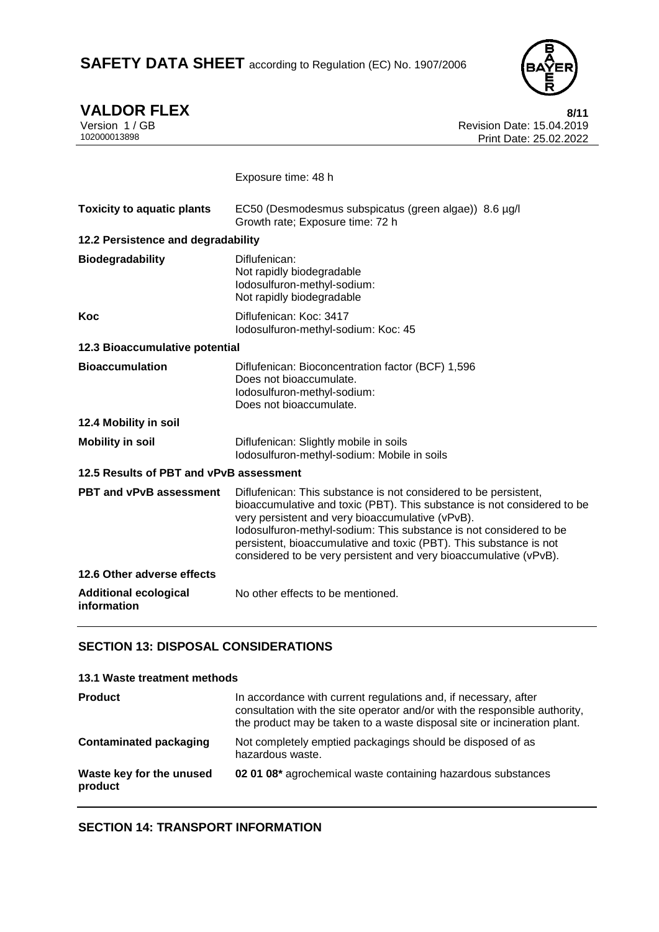# SAFETY DATA SHEET according to Regulation (EC) No. 1907/2006



**VALDOR FLEX** 8/11<br>Version 1/GB Revision Date: 15.04.2019 Version 1 / GB Revision Date: 15.04.2019<br>102000013898 Print Date: 25.02.2022 Print Date: 25.02.2022

|                                             | Exposure time: 48 h                                                                                                                                                                                                                                                                                                                                                                                              |  |
|---------------------------------------------|------------------------------------------------------------------------------------------------------------------------------------------------------------------------------------------------------------------------------------------------------------------------------------------------------------------------------------------------------------------------------------------------------------------|--|
| <b>Toxicity to aquatic plants</b>           | EC50 (Desmodesmus subspicatus (green algae)) 8.6 µg/l<br>Growth rate; Exposure time: 72 h                                                                                                                                                                                                                                                                                                                        |  |
| 12.2 Persistence and degradability          |                                                                                                                                                                                                                                                                                                                                                                                                                  |  |
| <b>Biodegradability</b>                     | Diflufenican:<br>Not rapidly biodegradable<br>lodosulfuron-methyl-sodium:<br>Not rapidly biodegradable                                                                                                                                                                                                                                                                                                           |  |
| Koc                                         | Diflufenican: Koc: 3417<br>Iodosulfuron-methyl-sodium: Koc: 45                                                                                                                                                                                                                                                                                                                                                   |  |
| 12.3 Bioaccumulative potential              |                                                                                                                                                                                                                                                                                                                                                                                                                  |  |
| <b>Bioaccumulation</b>                      | Diflufenican: Bioconcentration factor (BCF) 1,596<br>Does not bioaccumulate.<br>lodosulfuron-methyl-sodium:<br>Does not bioaccumulate.                                                                                                                                                                                                                                                                           |  |
| 12.4 Mobility in soil                       |                                                                                                                                                                                                                                                                                                                                                                                                                  |  |
| <b>Mobility in soil</b>                     | Diflufenican: Slightly mobile in soils<br>Iodosulfuron-methyl-sodium: Mobile in soils                                                                                                                                                                                                                                                                                                                            |  |
| 12.5 Results of PBT and vPvB assessment     |                                                                                                                                                                                                                                                                                                                                                                                                                  |  |
| <b>PBT and vPvB assessment</b>              | Diflufenican: This substance is not considered to be persistent,<br>bioaccumulative and toxic (PBT). This substance is not considered to be<br>very persistent and very bioaccumulative (vPvB).<br>lodosulfuron-methyl-sodium: This substance is not considered to be<br>persistent, bioaccumulative and toxic (PBT). This substance is not<br>considered to be very persistent and very bioaccumulative (vPvB). |  |
| 12.6 Other adverse effects                  |                                                                                                                                                                                                                                                                                                                                                                                                                  |  |
| <b>Additional ecological</b><br>information | No other effects to be mentioned.                                                                                                                                                                                                                                                                                                                                                                                |  |

# **SECTION 13: DISPOSAL CONSIDERATIONS**

| 13.1 Waste treatment methods        |                                                                                                                                                                                                                           |
|-------------------------------------|---------------------------------------------------------------------------------------------------------------------------------------------------------------------------------------------------------------------------|
| <b>Product</b>                      | In accordance with current regulations and, if necessary, after<br>consultation with the site operator and/or with the responsible authority,<br>the product may be taken to a waste disposal site or incineration plant. |
| <b>Contaminated packaging</b>       | Not completely emptied packagings should be disposed of as<br>hazardous waste.                                                                                                                                            |
| Waste key for the unused<br>product | 02 01 08* agrochemical waste containing hazardous substances                                                                                                                                                              |

# **SECTION 14: TRANSPORT INFORMATION**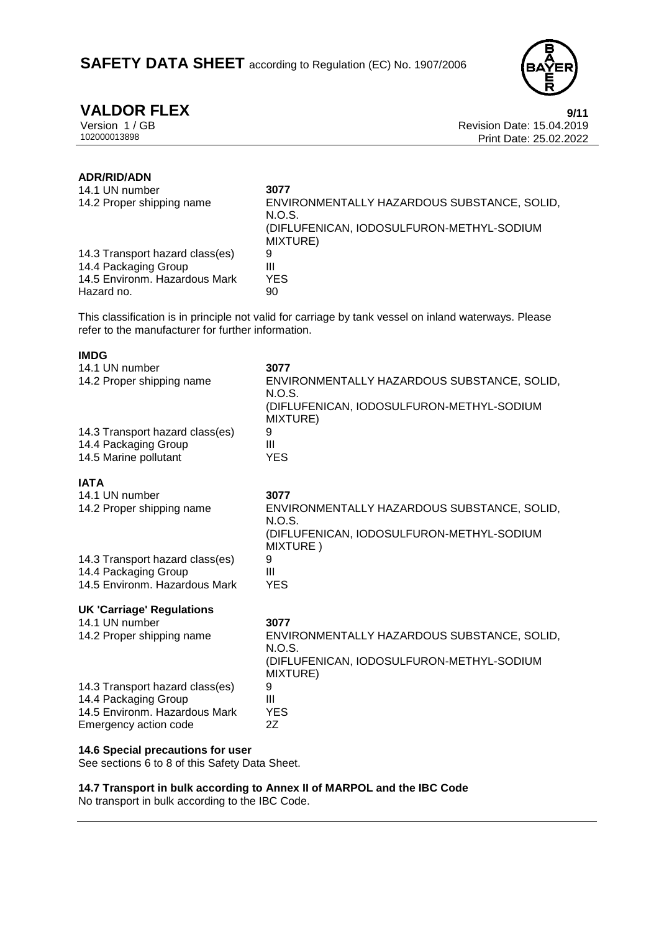# **SAFETY DATA SHEET** according to Regulation (EC) No. 1907/2006



# **ADR/RID/ADN**

**IMDG**

| 14.1 UN number<br>14.2 Proper shipping name | 3077<br>ENVIRONMENTALLY HAZARDOUS SUBSTANCE, SOLID,<br>N.O.S.<br>(DIFLUFENICAN, IODOSULFURON-METHYL-SODIUM<br>MIXTURE) |
|---------------------------------------------|------------------------------------------------------------------------------------------------------------------------|
| 14.3 Transport hazard class(es)             | 9                                                                                                                      |
| 14.4 Packaging Group                        | Ш                                                                                                                      |
| 14.5 Environm, Hazardous Mark               | YES.                                                                                                                   |
| Hazard no.                                  | 90                                                                                                                     |

This classification is in principle not valid for carriage by tank vessel on inland waterways. Please refer to the manufacturer for further information.

| טשווו                                       |                                                               |
|---------------------------------------------|---------------------------------------------------------------|
| 14.1 UN number<br>14.2 Proper shipping name | 3077<br>ENVIRONMENTALLY HAZARDOUS SUBSTANCE, SOLID,<br>N.O.S. |
|                                             | (DIFLUFENICAN, IODOSULFURON-METHYL-SODIUM<br>MIXTURE)         |
| 14.3 Transport hazard class(es)             | 9                                                             |
| 14.4 Packaging Group                        | Ш                                                             |
| 14.5 Marine pollutant                       | <b>YES</b>                                                    |
| <b>IATA</b>                                 |                                                               |
| 14.1 UN number                              | 3077                                                          |
| 14.2 Proper shipping name                   | ENVIRONMENTALLY HAZARDOUS SUBSTANCE, SOLID,<br>N.O.S.         |
|                                             | (DIFLUFENICAN, IODOSULFURON-METHYL-SODIUM<br>MIXTURE)         |
| 14.3 Transport hazard class(es)             | 9                                                             |
| 14.4 Packaging Group                        | Ш                                                             |
| 14.5 Environm. Hazardous Mark               | <b>YES</b>                                                    |
| <b>UK 'Carriage' Regulations</b>            |                                                               |
| 14.1 UN number                              | 3077                                                          |
| 14.2 Proper shipping name                   | ENVIRONMENTALLY HAZARDOUS SUBSTANCE, SOLID,<br>N.O.S.         |
|                                             | (DIFLUFENICAN, IODOSULFURON-METHYL-SODIUM<br>MIXTURE)         |
| 14.3 Transport hazard class(es)             | 9                                                             |
| 14.4 Packaging Group                        | Ш                                                             |
| 14.5 Environm. Hazardous Mark               | <b>YES</b>                                                    |
| Emergency action code                       | 2Z                                                            |
| 14.6 Special precautions for user           |                                                               |

See sections 6 to 8 of this Safety Data Sheet.

**14.7 Transport in bulk according to Annex II of MARPOL and the IBC Code**

No transport in bulk according to the IBC Code.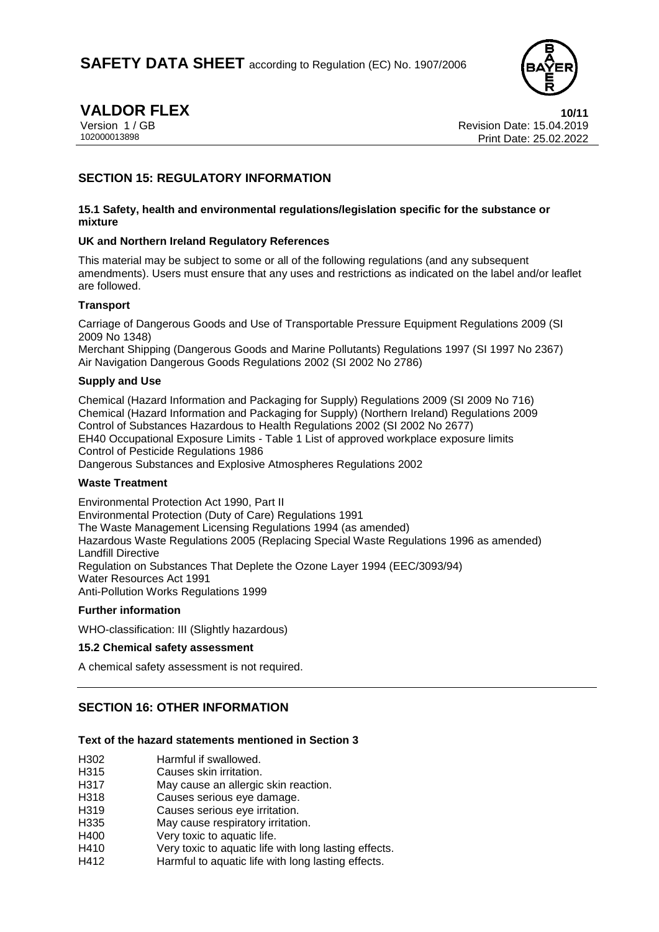

**VALDOR FLEX**<br>Version 1 / GB Revision Date: 15.04.2019 Version 1 / GB Revision Date: 15.04.2019 Print Date: 25.02.2022

# **SECTION 15: REGULATORY INFORMATION**

#### **15.1 Safety, health and environmental regulations/legislation specific for the substance or mixture**

### **UK and Northern Ireland Regulatory References**

This material may be subject to some or all of the following regulations (and any subsequent amendments). Users must ensure that any uses and restrictions as indicated on the label and/or leaflet are followed.

### **Transport**

Carriage of Dangerous Goods and Use of Transportable Pressure Equipment Regulations 2009 (SI 2009 No 1348)

Merchant Shipping (Dangerous Goods and Marine Pollutants) Regulations 1997 (SI 1997 No 2367) Air Navigation Dangerous Goods Regulations 2002 (SI 2002 No 2786)

### **Supply and Use**

Chemical (Hazard Information and Packaging for Supply) Regulations 2009 (SI 2009 No 716) Chemical (Hazard Information and Packaging for Supply) (Northern Ireland) Regulations 2009 Control of Substances Hazardous to Health Regulations 2002 (SI 2002 No 2677) EH40 Occupational Exposure Limits - Table 1 List of approved workplace exposure limits Control of Pesticide Regulations 1986 Dangerous Substances and Explosive Atmospheres Regulations 2002

### **Waste Treatment**

Environmental Protection Act 1990, Part II Environmental Protection (Duty of Care) Regulations 1991 The Waste Management Licensing Regulations 1994 (as amended) Hazardous Waste Regulations 2005 (Replacing Special Waste Regulations 1996 as amended) Landfill Directive Regulation on Substances That Deplete the Ozone Layer 1994 (EEC/3093/94) Water Resources Act 1991 Anti-Pollution Works Regulations 1999

### **Further information**

WHO-classification: III (Slightly hazardous)

### **15.2 Chemical safety assessment**

A chemical safety assessment is not required.

# **SECTION 16: OTHER INFORMATION**

### **Text of the hazard statements mentioned in Section 3**

| H302 | Harmful if swallowed. |
|------|-----------------------|
|      |                       |

- H315 Causes skin irritation.
- H317 May cause an allergic skin reaction.
- H318 Causes serious eye damage.
- H319 Causes serious eye irritation.
- H335 May cause respiratory irritation.
- H400 Very toxic to aquatic life.
- H410 Very toxic to aquatic life with long lasting effects.
- H412 Harmful to aquatic life with long lasting effects.